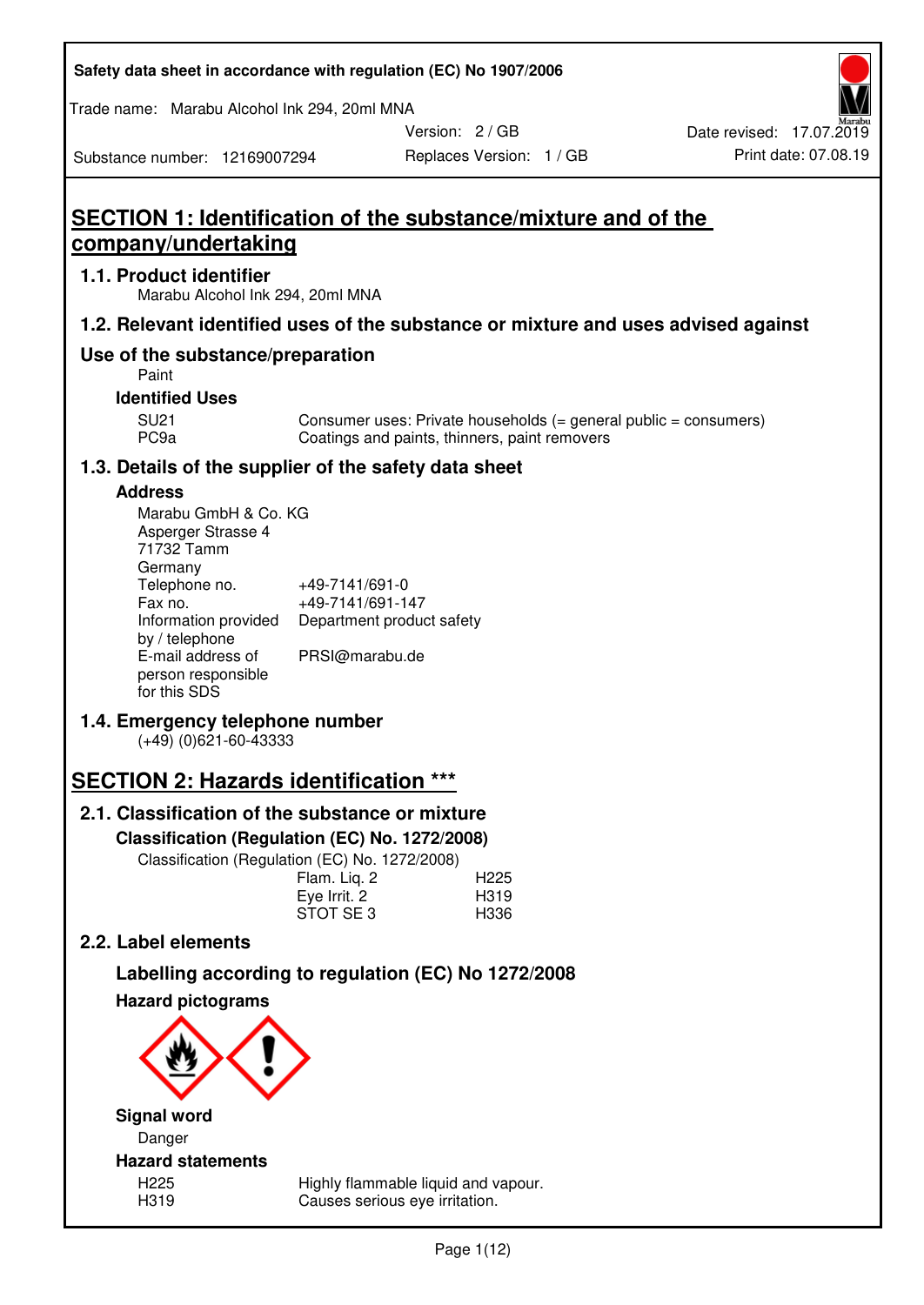| Safety data sheet in accordance with regulation (EC) No 1907/2006 |  |
|-------------------------------------------------------------------|--|
|-------------------------------------------------------------------|--|

Trade name: Marabu Alcohol Ink 294, 20ml MNA

Version: 2 / GB

Replaces Version: 1 / GB Print date: 07.08.19 Date revised: 17.07.2019

Substance number: 12169007294

# **SECTION 1: Identification of the substance/mixture and of the company/undertaking**

## **1.1. Product identifier**

Marabu Alcohol Ink 294, 20ml MNA

## **1.2. Relevant identified uses of the substance or mixture and uses advised against**

## **Use of the substance/preparation**

Paint

## **Identified Uses**

SU21 Consumer uses: Private households (= general public = consumers)<br>PC9a Coatings and paints, thinners, paint removers Coatings and paints, thinners, paint removers

## **1.3. Details of the supplier of the safety data sheet**

## **Address**

| Marabu GmbH & Co. KG |                           |
|----------------------|---------------------------|
| Asperger Strasse 4   |                           |
| 71732 Tamm           |                           |
| Germany              |                           |
| Telephone no.        | +49-7141/691-0            |
| Fax no.              | +49-7141/691-147          |
| Information provided | Department product safety |
| by / telephone       |                           |
| E-mail address of    | PRSI@marabu.de            |
| person responsible   |                           |
| for this SDS         |                           |

## **1.4. Emergency telephone number**

(+49) (0)621-60-43333

# **SECTION 2: Hazards identification \*\*\***

## **2.1. Classification of the substance or mixture**

**Classification (Regulation (EC) No. 1272/2008)** 

Classification (Regulation (EC) No. 1272/2008)

|              | . |                  |
|--------------|---|------------------|
| Flam. Liq. 2 |   | H <sub>225</sub> |
| Eye Irrit. 2 |   | H319             |
| STOT SE3     |   | H336             |
|              |   |                  |

## **2.2. Label elements**

# **Labelling according to regulation (EC) No 1272/2008**



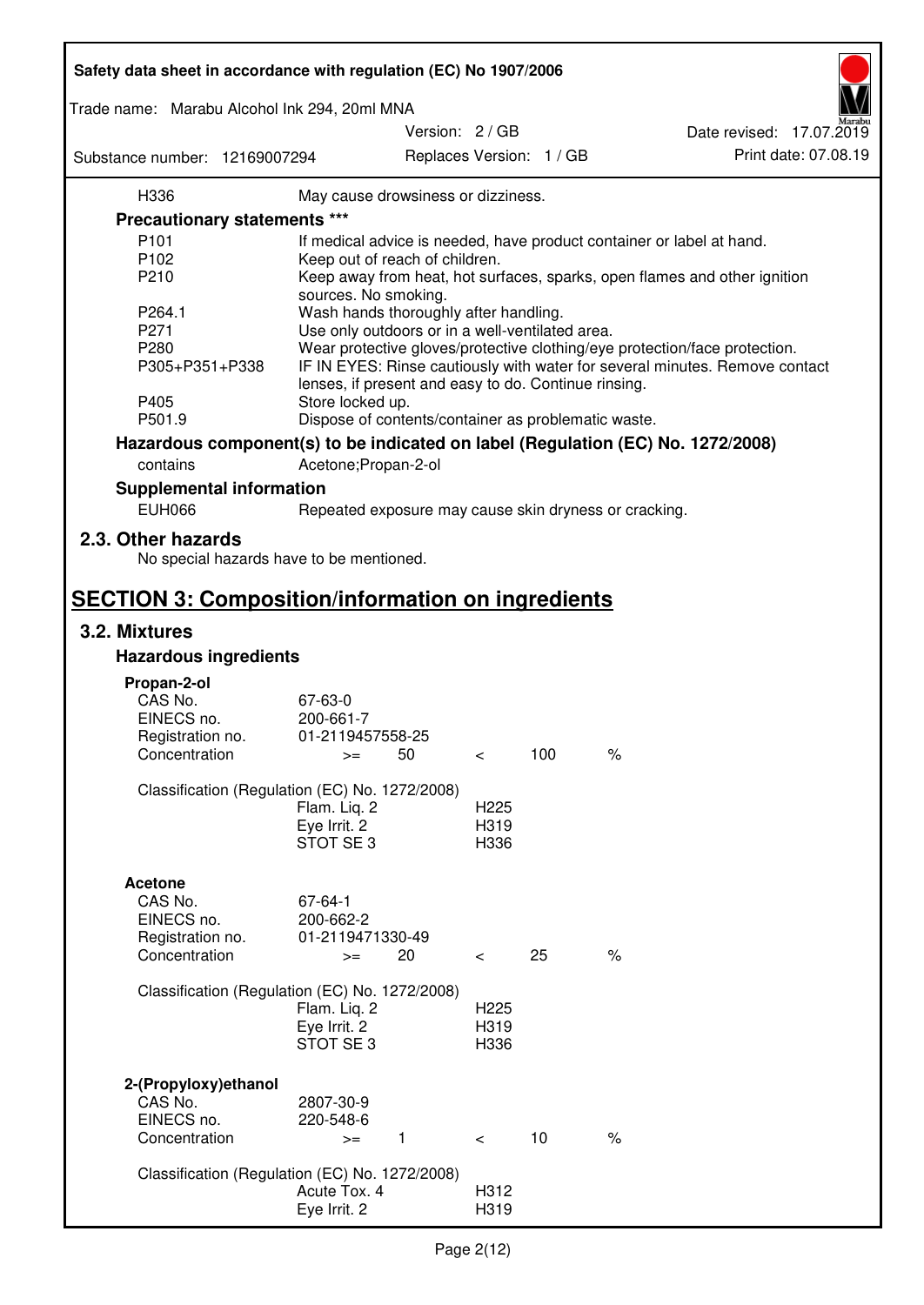| Safety data sheet in accordance with regulation (EC) No 1907/2006 |                                                       |                          |                          |                                                                                 |
|-------------------------------------------------------------------|-------------------------------------------------------|--------------------------|--------------------------|---------------------------------------------------------------------------------|
| Trade name: Marabu Alcohol Ink 294, 20ml MNA                      |                                                       |                          |                          |                                                                                 |
|                                                                   |                                                       | Version: 2 / GB          |                          | Date revised: 17.07.2019                                                        |
| Substance number: 12169007294                                     |                                                       |                          | Replaces Version: 1 / GB | Print date: 07.08.19                                                            |
| H336                                                              | May cause drowsiness or dizziness.                    |                          |                          |                                                                                 |
| Precautionary statements ***                                      |                                                       |                          |                          |                                                                                 |
| P <sub>101</sub>                                                  |                                                       |                          |                          | If medical advice is needed, have product container or label at hand.           |
| P102                                                              | Keep out of reach of children.                        |                          |                          |                                                                                 |
| P210                                                              |                                                       |                          |                          | Keep away from heat, hot surfaces, sparks, open flames and other ignition       |
|                                                                   | sources. No smoking.                                  |                          |                          |                                                                                 |
| P264.1                                                            | Wash hands thoroughly after handling.                 |                          |                          |                                                                                 |
| P271                                                              | Use only outdoors or in a well-ventilated area.       |                          |                          |                                                                                 |
| P280                                                              |                                                       |                          |                          | Wear protective gloves/protective clothing/eye protection/face protection.      |
| P305+P351+P338                                                    | lenses, if present and easy to do. Continue rinsing.  |                          |                          | IF IN EYES: Rinse cautiously with water for several minutes. Remove contact     |
| P405                                                              | Store locked up.                                      |                          |                          |                                                                                 |
| P501.9                                                            | Dispose of contents/container as problematic waste.   |                          |                          |                                                                                 |
|                                                                   |                                                       |                          |                          | Hazardous component(s) to be indicated on label (Regulation (EC) No. 1272/2008) |
| contains                                                          | Acetone; Propan-2-ol                                  |                          |                          |                                                                                 |
| <b>Supplemental information</b>                                   |                                                       |                          |                          |                                                                                 |
| <b>EUH066</b>                                                     | Repeated exposure may cause skin dryness or cracking. |                          |                          |                                                                                 |
| 2.3. Other hazards<br>No special hazards have to be mentioned.    |                                                       |                          |                          |                                                                                 |
| <b>SECTION 3: Composition/information on ingredients</b>          |                                                       |                          |                          |                                                                                 |
| 3.2. Mixtures                                                     |                                                       |                          |                          |                                                                                 |
| <b>Hazardous ingredients</b>                                      |                                                       |                          |                          |                                                                                 |
|                                                                   |                                                       |                          |                          |                                                                                 |
| Propan-2-ol                                                       |                                                       |                          |                          |                                                                                 |
| CAS No.<br>EINECS no.                                             | 67-63-0<br>200-661-7                                  |                          |                          |                                                                                 |
| Registration no.                                                  | 01-2119457558-25                                      |                          |                          |                                                                                 |
| Concentration                                                     | 50<br>$>=$                                            | $\,<\,$                  | 100                      | $\%$                                                                            |
|                                                                   |                                                       |                          |                          |                                                                                 |
| Classification (Regulation (EC) No. 1272/2008)                    |                                                       |                          |                          |                                                                                 |
|                                                                   | Flam. Liq. 2                                          | H <sub>225</sub>         |                          |                                                                                 |
|                                                                   | Eye Irrit. 2                                          | H319                     |                          |                                                                                 |
|                                                                   | STOT SE3                                              | H336                     |                          |                                                                                 |
|                                                                   |                                                       |                          |                          |                                                                                 |
| <b>Acetone</b>                                                    |                                                       |                          |                          |                                                                                 |
| CAS No.                                                           | 67-64-1                                               |                          |                          |                                                                                 |
| EINECS no.                                                        | 200-662-2                                             |                          |                          |                                                                                 |
| Registration no.                                                  | 01-2119471330-49                                      |                          |                          |                                                                                 |
| Concentration                                                     | 20<br>$>=$                                            | $\overline{\phantom{0}}$ | 25                       | $\%$                                                                            |
|                                                                   |                                                       |                          |                          |                                                                                 |
| Classification (Regulation (EC) No. 1272/2008)                    |                                                       |                          |                          |                                                                                 |
|                                                                   | Flam. Liq. 2                                          | H <sub>225</sub>         |                          |                                                                                 |
|                                                                   | Eye Irrit. 2                                          | H319                     |                          |                                                                                 |
|                                                                   | STOT SE 3                                             | H336                     |                          |                                                                                 |
|                                                                   |                                                       |                          |                          |                                                                                 |
| 2-(Propyloxy) ethanol                                             |                                                       |                          |                          |                                                                                 |
| CAS No.                                                           | 2807-30-9                                             |                          |                          |                                                                                 |
| EINECS no.                                                        | 220-548-6                                             |                          |                          |                                                                                 |
| Concentration                                                     | 1<br>$>=$                                             | $\prec$                  | 10                       | $\%$                                                                            |
|                                                                   |                                                       |                          |                          |                                                                                 |
| Classification (Regulation (EC) No. 1272/2008)                    | Acute Tox. 4                                          | H312                     |                          |                                                                                 |
|                                                                   | Eye Irrit. 2                                          | H319                     |                          |                                                                                 |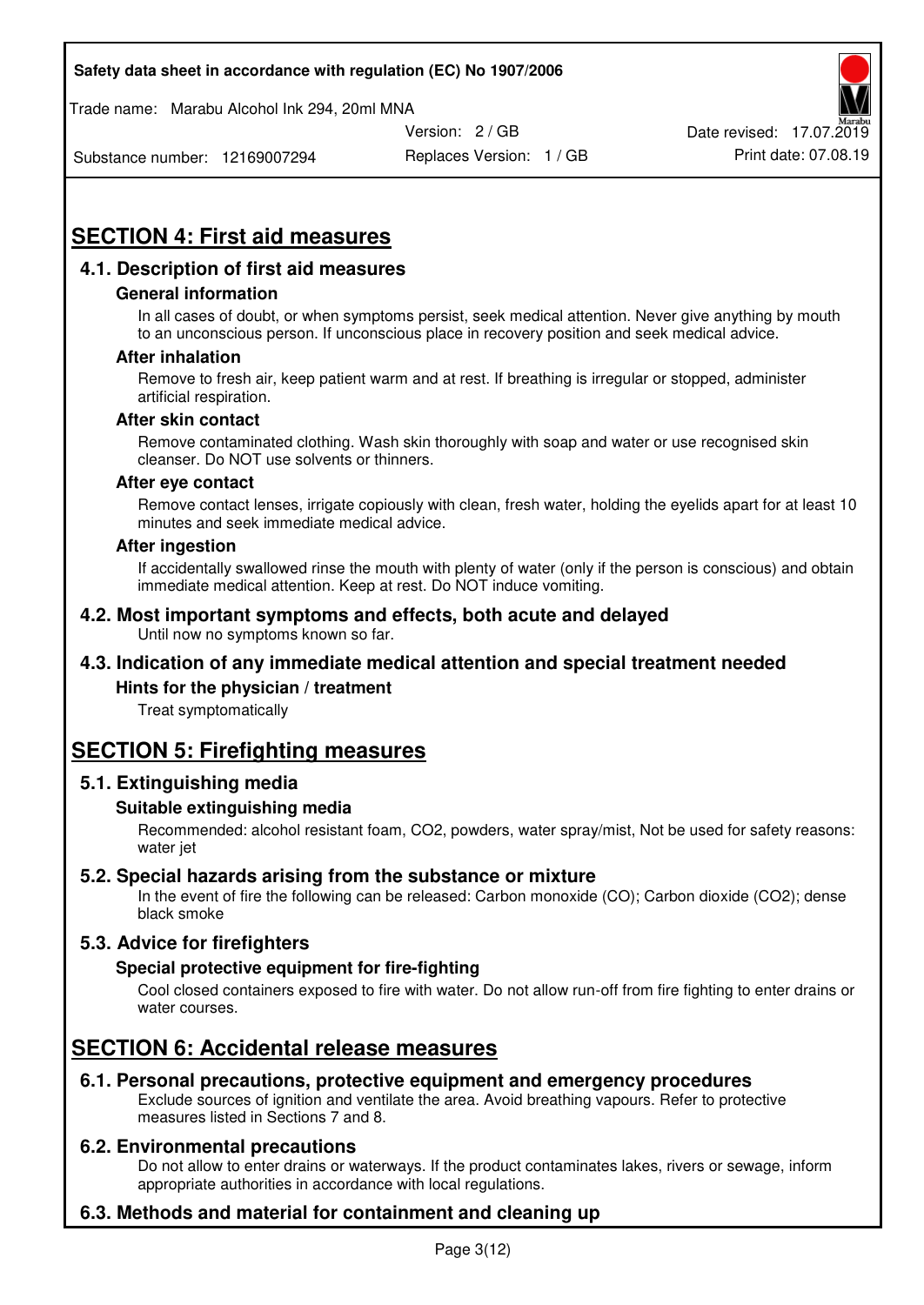Trade name: Marabu Alcohol Ink 294, 20ml MNA



Substance number: 12169007294

Replaces Version: 1 / GB Print date: 07.08.19

# **SECTION 4: First aid measures**

## **4.1. Description of first aid measures**

#### **General information**

In all cases of doubt, or when symptoms persist, seek medical attention. Never give anything by mouth to an unconscious person. If unconscious place in recovery position and seek medical advice.

#### **After inhalation**

Remove to fresh air, keep patient warm and at rest. If breathing is irregular or stopped, administer artificial respiration.

#### **After skin contact**

Remove contaminated clothing. Wash skin thoroughly with soap and water or use recognised skin cleanser. Do NOT use solvents or thinners.

#### **After eye contact**

Remove contact lenses, irrigate copiously with clean, fresh water, holding the eyelids apart for at least 10 minutes and seek immediate medical advice.

#### **After ingestion**

If accidentally swallowed rinse the mouth with plenty of water (only if the person is conscious) and obtain immediate medical attention. Keep at rest. Do NOT induce vomiting.

#### **4.2. Most important symptoms and effects, both acute and delayed**  Until now no symptoms known so far.

## **4.3. Indication of any immediate medical attention and special treatment needed**

#### **Hints for the physician / treatment**

Treat symptomatically

## **SECTION 5: Firefighting measures**

#### **5.1. Extinguishing media**

#### **Suitable extinguishing media**

Recommended: alcohol resistant foam, CO2, powders, water spray/mist, Not be used for safety reasons: water jet

#### **5.2. Special hazards arising from the substance or mixture**

In the event of fire the following can be released: Carbon monoxide (CO); Carbon dioxide (CO2); dense black smoke

## **5.3. Advice for firefighters**

#### **Special protective equipment for fire-fighting**

Cool closed containers exposed to fire with water. Do not allow run-off from fire fighting to enter drains or water courses.

## **SECTION 6: Accidental release measures**

#### **6.1. Personal precautions, protective equipment and emergency procedures**

Exclude sources of ignition and ventilate the area. Avoid breathing vapours. Refer to protective measures listed in Sections 7 and 8.

#### **6.2. Environmental precautions**

Do not allow to enter drains or waterways. If the product contaminates lakes, rivers or sewage, inform appropriate authorities in accordance with local regulations.

## **6.3. Methods and material for containment and cleaning up**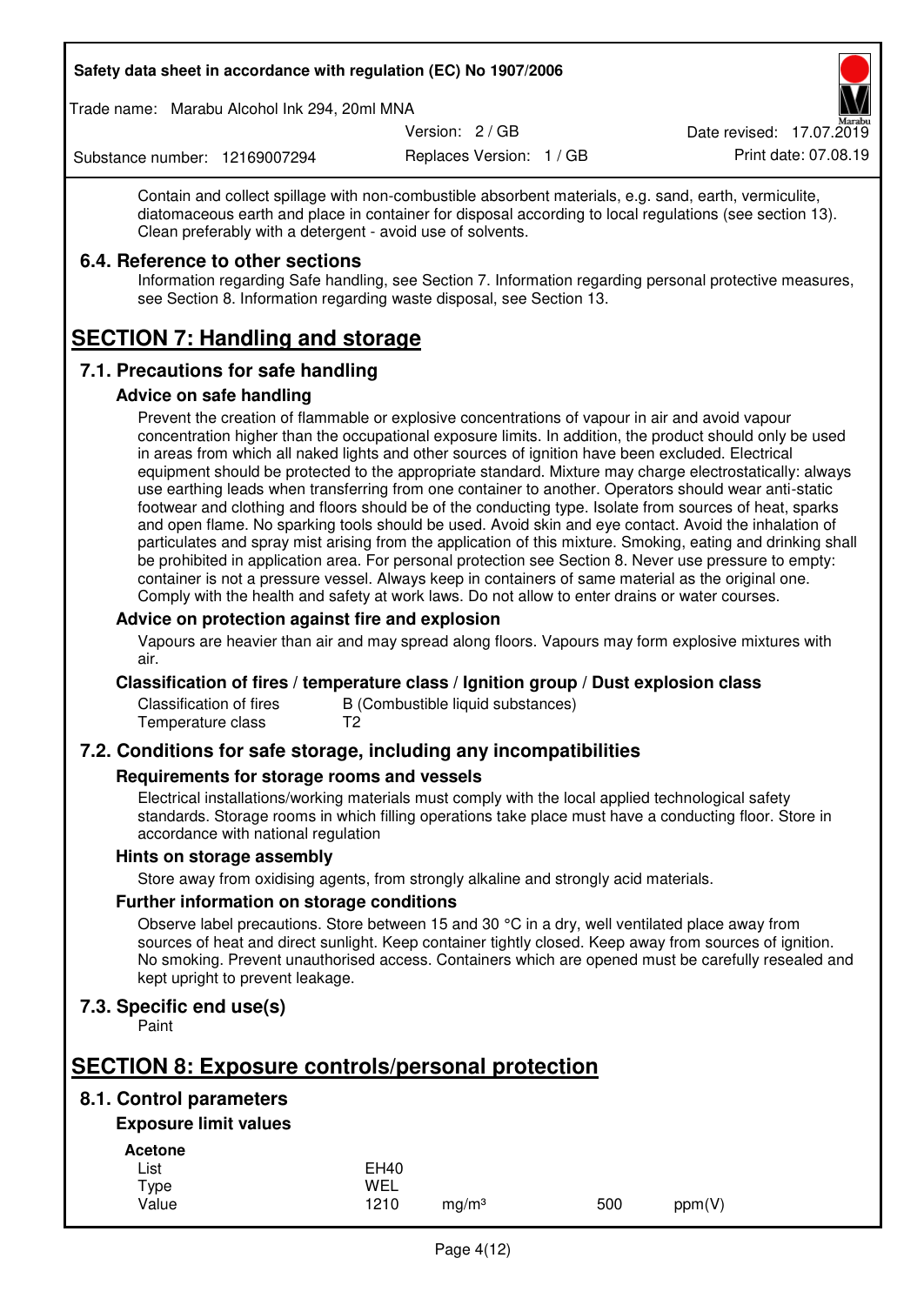Trade name: Marabu Alcohol Ink 294, 20ml MNA

Version: 2 / GB

Replaces Version: 1 / GB Print date: 07.08.19 Date revised: 17.07.2019

Substance number: 12169007294

Contain and collect spillage with non-combustible absorbent materials, e.g. sand, earth, vermiculite, diatomaceous earth and place in container for disposal according to local regulations (see section 13). Clean preferably with a detergent - avoid use of solvents.

### **6.4. Reference to other sections**

Information regarding Safe handling, see Section 7. Information regarding personal protective measures, see Section 8. Information regarding waste disposal, see Section 13.

# **SECTION 7: Handling and storage**

## **7.1. Precautions for safe handling**

#### **Advice on safe handling**

Prevent the creation of flammable or explosive concentrations of vapour in air and avoid vapour concentration higher than the occupational exposure limits. In addition, the product should only be used in areas from which all naked lights and other sources of ignition have been excluded. Electrical equipment should be protected to the appropriate standard. Mixture may charge electrostatically: always use earthing leads when transferring from one container to another. Operators should wear anti-static footwear and clothing and floors should be of the conducting type. Isolate from sources of heat, sparks and open flame. No sparking tools should be used. Avoid skin and eye contact. Avoid the inhalation of particulates and spray mist arising from the application of this mixture. Smoking, eating and drinking shall be prohibited in application area. For personal protection see Section 8. Never use pressure to empty: container is not a pressure vessel. Always keep in containers of same material as the original one. Comply with the health and safety at work laws. Do not allow to enter drains or water courses.

### **Advice on protection against fire and explosion**

Vapours are heavier than air and may spread along floors. Vapours may form explosive mixtures with air.

#### **Classification of fires / temperature class / Ignition group / Dust explosion class**

Classification of fires B (Combustible liquid substances)<br>Temperature class T2 Temperature class

## **7.2. Conditions for safe storage, including any incompatibilities**

#### **Requirements for storage rooms and vessels**

Electrical installations/working materials must comply with the local applied technological safety standards. Storage rooms in which filling operations take place must have a conducting floor. Store in accordance with national regulation

#### **Hints on storage assembly**

Store away from oxidising agents, from strongly alkaline and strongly acid materials.

#### **Further information on storage conditions**

Observe label precautions. Store between 15 and 30 °C in a dry, well ventilated place away from sources of heat and direct sunlight. Keep container tightly closed. Keep away from sources of ignition. No smoking. Prevent unauthorised access. Containers which are opened must be carefully resealed and kept upright to prevent leakage.

## **7.3. Specific end use(s)**

Paint

# **SECTION 8: Exposure controls/personal protection**

## **8.1. Control parameters**

## **Exposure limit values**

**Acetone** 

| List  | <b>EH40</b> |                   |     |        |
|-------|-------------|-------------------|-----|--------|
| Type  | WEL         |                   |     |        |
| Value | 1210        | mg/m <sup>3</sup> | 500 | ppm(V) |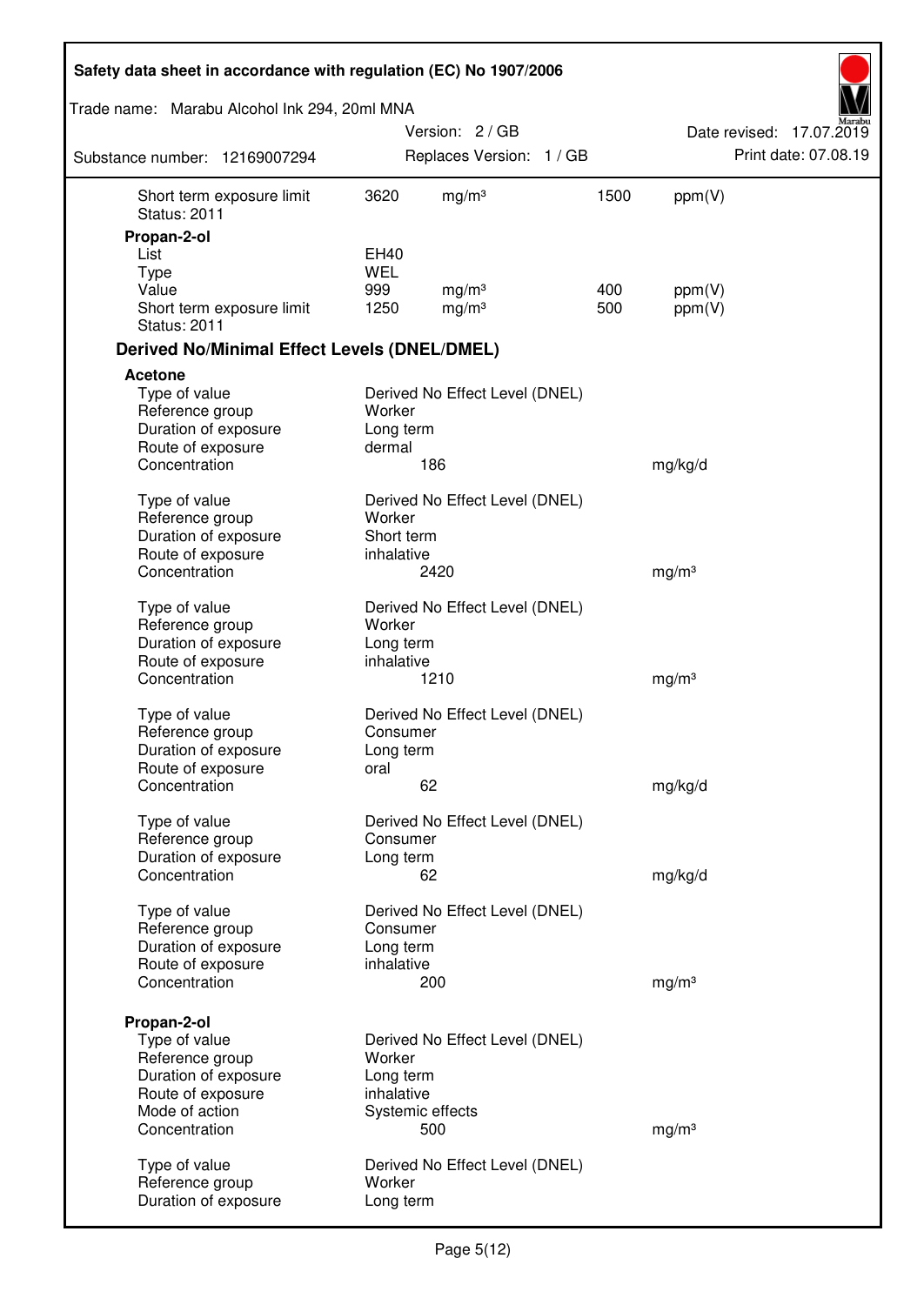| Safety data sheet in accordance with regulation (EC) No 1907/2006 |             |                                        |            |                   |                          |
|-------------------------------------------------------------------|-------------|----------------------------------------|------------|-------------------|--------------------------|
| Trade name: Marabu Alcohol Ink 294, 20ml MNA                      |             |                                        |            |                   |                          |
|                                                                   |             | Version: 2/GB                          |            |                   | Date revised: 17.07.2019 |
| Substance number: 12169007294                                     |             | Replaces Version: 1 / GB               |            |                   | Print date: 07.08.19     |
| Short term exposure limit<br><b>Status: 2011</b>                  | 3620        | mg/m <sup>3</sup>                      | 1500       | ppm(V)            |                          |
| Propan-2-ol                                                       |             |                                        |            |                   |                          |
| List                                                              | EH40        |                                        |            |                   |                          |
| <b>Type</b>                                                       | <b>WEL</b>  |                                        |            |                   |                          |
| Value<br>Short term exposure limit<br><b>Status: 2011</b>         | 999<br>1250 | mg/m <sup>3</sup><br>mg/m <sup>3</sup> | 400<br>500 | ppm(V)<br>ppm(V)  |                          |
| <b>Derived No/Minimal Effect Levels (DNEL/DMEL)</b>               |             |                                        |            |                   |                          |
| Acetone                                                           |             |                                        |            |                   |                          |
| Type of value                                                     |             | Derived No Effect Level (DNEL)         |            |                   |                          |
| Reference group                                                   | Worker      |                                        |            |                   |                          |
| Duration of exposure                                              | Long term   |                                        |            |                   |                          |
| Route of exposure                                                 | dermal      |                                        |            |                   |                          |
| Concentration                                                     |             | 186                                    |            | mg/kg/d           |                          |
| Type of value                                                     |             | Derived No Effect Level (DNEL)         |            |                   |                          |
| Reference group                                                   | Worker      |                                        |            |                   |                          |
| Duration of exposure                                              | Short term  |                                        |            |                   |                          |
| Route of exposure                                                 | inhalative  |                                        |            |                   |                          |
| Concentration                                                     |             | 2420                                   |            | mg/m <sup>3</sup> |                          |
| Type of value                                                     |             | Derived No Effect Level (DNEL)         |            |                   |                          |
| Reference group                                                   | Worker      |                                        |            |                   |                          |
| Duration of exposure                                              | Long term   |                                        |            |                   |                          |
| Route of exposure                                                 | inhalative  |                                        |            |                   |                          |
| Concentration                                                     |             | 1210                                   |            | mg/m <sup>3</sup> |                          |
|                                                                   |             |                                        |            |                   |                          |
| Type of value                                                     |             | Derived No Effect Level (DNEL)         |            |                   |                          |
| Reference group                                                   | Consumer    |                                        |            |                   |                          |
| Duration of exposure                                              | Long term   |                                        |            |                   |                          |
| Route of exposure                                                 | oral        |                                        |            |                   |                          |
| Concentration                                                     |             | 62                                     |            | mg/kg/d           |                          |
| Type of value                                                     |             | Derived No Effect Level (DNEL)         |            |                   |                          |
| Reference group                                                   | Consumer    |                                        |            |                   |                          |
| Duration of exposure                                              | Long term   |                                        |            |                   |                          |
| Concentration                                                     |             | 62                                     |            | mg/kg/d           |                          |
| Type of value                                                     |             | Derived No Effect Level (DNEL)         |            |                   |                          |
| Reference group                                                   | Consumer    |                                        |            |                   |                          |
| Duration of exposure                                              | Long term   |                                        |            |                   |                          |
| Route of exposure                                                 | inhalative  |                                        |            |                   |                          |
| Concentration                                                     |             | 200                                    |            | mg/m <sup>3</sup> |                          |
| Propan-2-ol                                                       |             |                                        |            |                   |                          |
| Type of value                                                     |             | Derived No Effect Level (DNEL)         |            |                   |                          |
| Reference group                                                   | Worker      |                                        |            |                   |                          |
| Duration of exposure                                              | Long term   |                                        |            |                   |                          |
| Route of exposure                                                 | inhalative  |                                        |            |                   |                          |
| Mode of action                                                    |             | Systemic effects                       |            |                   |                          |
| Concentration                                                     |             | 500                                    |            | mg/m <sup>3</sup> |                          |
|                                                                   |             |                                        |            |                   |                          |
| Type of value<br>Reference group                                  | Worker      | Derived No Effect Level (DNEL)         |            |                   |                          |
| Duration of exposure                                              | Long term   |                                        |            |                   |                          |
|                                                                   |             |                                        |            |                   |                          |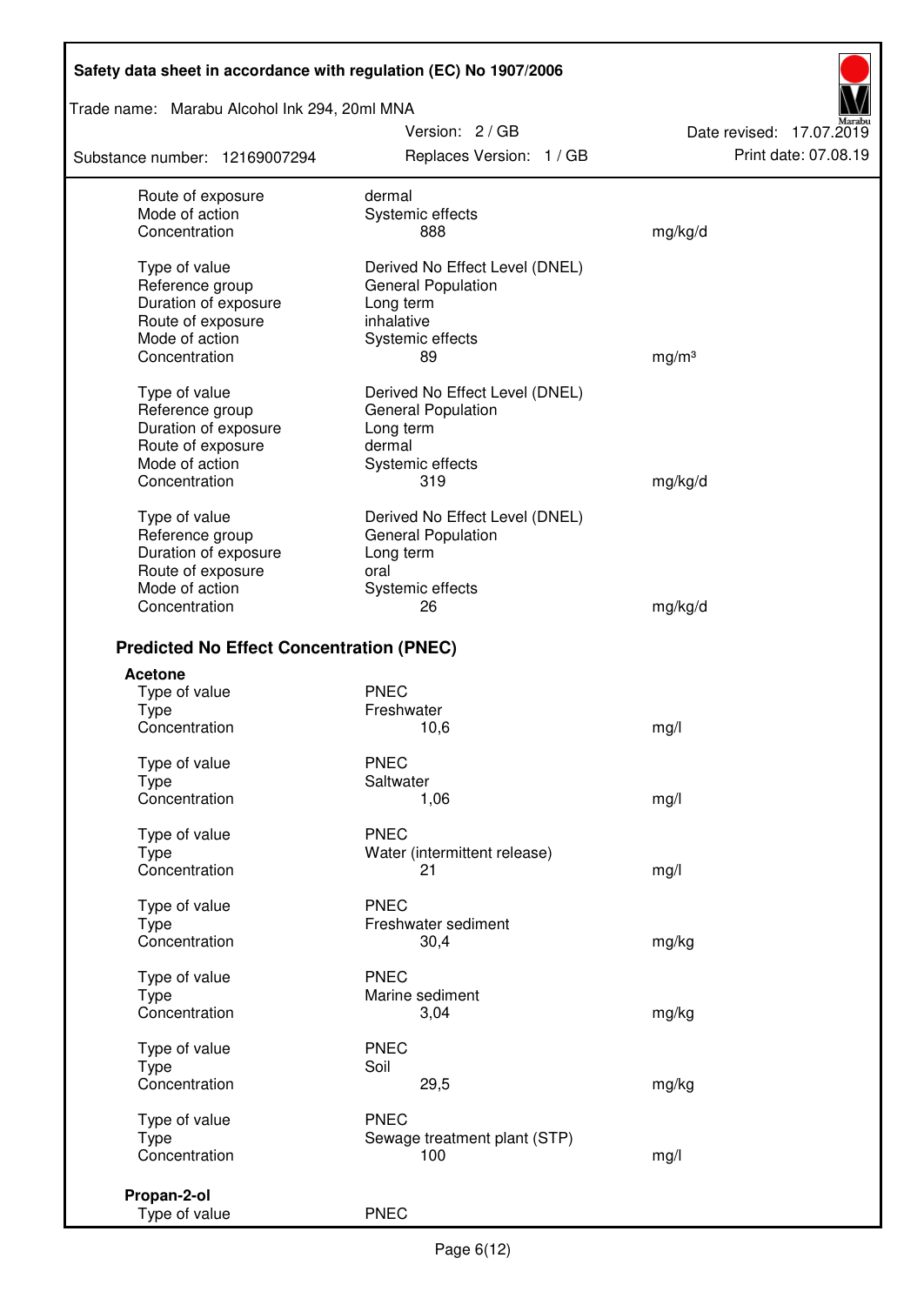Trade name: Marabu Alcohol Ink 294, 20ml MNA

Substance number: 12169007294

Version: 2 / GB Replaces Version: 1 / GB Print date: 07.08.19

Date revised: 17.07.2019

| Route of exposure                               | dermal                         |                   |
|-------------------------------------------------|--------------------------------|-------------------|
| Mode of action                                  | Systemic effects               |                   |
| Concentration                                   | 888                            | mg/kg/d           |
|                                                 |                                |                   |
| Type of value                                   | Derived No Effect Level (DNEL) |                   |
| Reference group                                 | <b>General Population</b>      |                   |
| Duration of exposure                            | Long term                      |                   |
| Route of exposure                               | inhalative                     |                   |
| Mode of action                                  | Systemic effects               |                   |
| Concentration                                   | 89                             | mg/m <sup>3</sup> |
|                                                 |                                |                   |
| Type of value                                   | Derived No Effect Level (DNEL) |                   |
| Reference group                                 | <b>General Population</b>      |                   |
| Duration of exposure                            | Long term                      |                   |
| Route of exposure                               | dermal                         |                   |
| Mode of action                                  | Systemic effects               |                   |
| Concentration                                   | 319                            | mg/kg/d           |
| Type of value                                   | Derived No Effect Level (DNEL) |                   |
| Reference group                                 | <b>General Population</b>      |                   |
| Duration of exposure                            | Long term                      |                   |
| Route of exposure                               | oral                           |                   |
| Mode of action                                  | Systemic effects               |                   |
| Concentration                                   | 26                             | mg/kg/d           |
|                                                 |                                |                   |
| <b>Predicted No Effect Concentration (PNEC)</b> |                                |                   |
| <b>Acetone</b>                                  |                                |                   |
| Type of value                                   | <b>PNEC</b>                    |                   |
| <b>Type</b>                                     | Freshwater                     |                   |
| Concentration                                   | 10,6                           | mg/l              |
| Type of value                                   | <b>PNEC</b>                    |                   |
| <b>Type</b>                                     | Saltwater                      |                   |
| Concentration                                   | 1,06                           | mg/l              |
|                                                 |                                |                   |
| Type of value                                   | <b>PNEC</b>                    |                   |
| Type                                            | Water (intermittent release)   |                   |
| Concentration                                   | 21                             | mg/l              |
| Type of value                                   | <b>PNEC</b>                    |                   |
| Type                                            | Freshwater sediment            |                   |
| Concentration                                   | 30,4                           | mg/kg             |
| Type of value                                   | <b>PNEC</b>                    |                   |
| Type                                            | Marine sediment                |                   |
| Concentration                                   | 3,04                           | mg/kg             |
|                                                 |                                |                   |
| Type of value                                   | <b>PNEC</b>                    |                   |
| <b>Type</b>                                     | Soil                           |                   |
| Concentration                                   | 29,5                           | mg/kg             |
| Type of value                                   | <b>PNEC</b>                    |                   |
| Type                                            | Sewage treatment plant (STP)   |                   |
| Concentration                                   | 100                            | mg/l              |
|                                                 |                                |                   |
| Propan-2-ol                                     | <b>PNEC</b>                    |                   |
| Type of value                                   |                                |                   |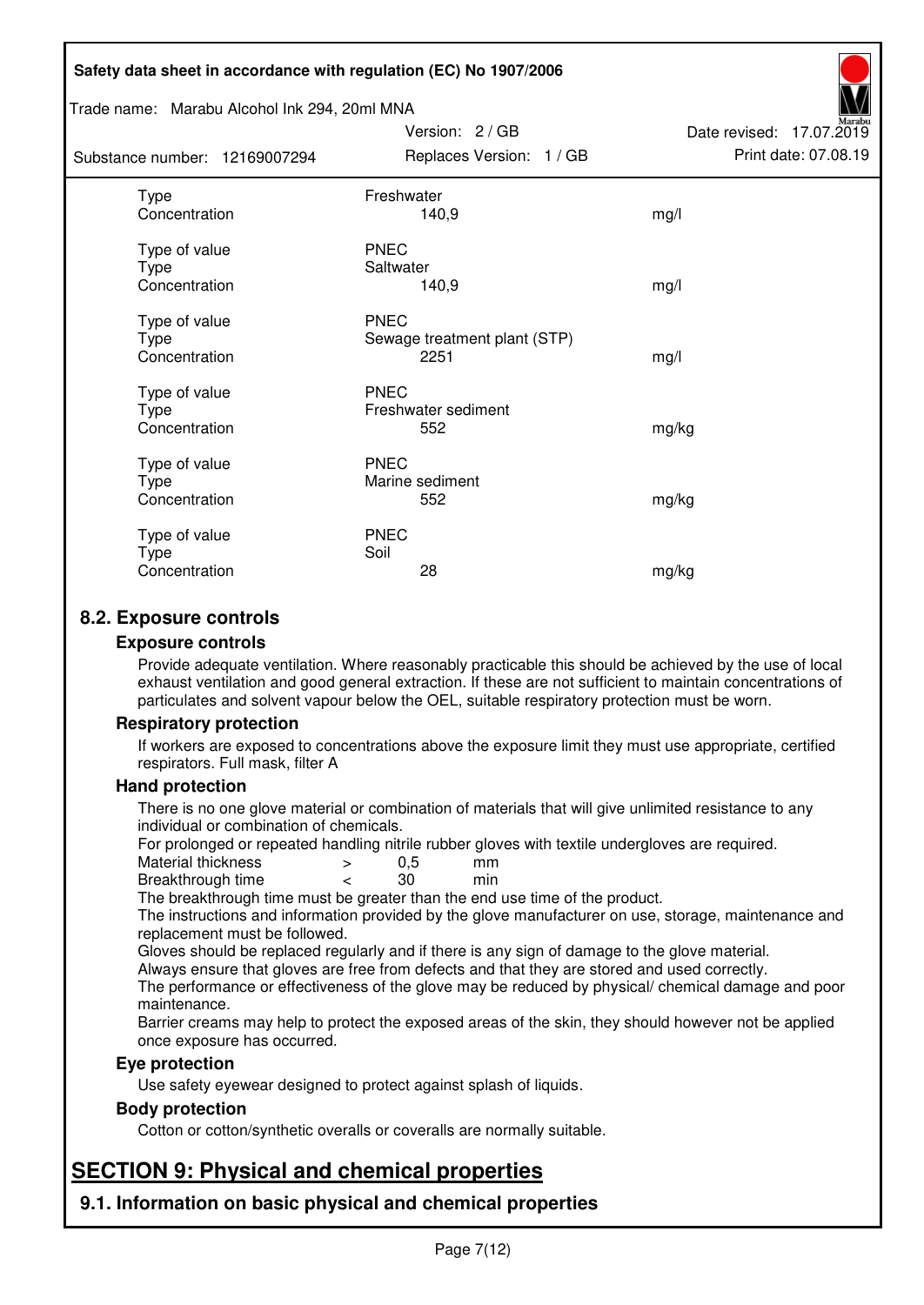#### Trade name: Marabu Alcohol Ink 294, 20ml MNA

Subs<sup>t</sup>

| tance number: 12169007294              | Replaces Version: 1 / GB                            | Print date: 07.08.19 |
|----------------------------------------|-----------------------------------------------------|----------------------|
| Type<br>Concentration                  | Freshwater<br>140,9                                 | mg/l                 |
| Type of value<br>Type<br>Concentration | <b>PNEC</b><br>Saltwater<br>140,9                   | mg/l                 |
| Type of value<br>Type<br>Concentration | <b>PNEC</b><br>Sewage treatment plant (STP)<br>2251 | mg/l                 |
| Type of value<br>Type<br>Concentration | <b>PNEC</b><br>Freshwater sediment<br>552           | mg/kg                |
| Type of value<br>Type<br>Concentration | <b>PNEC</b><br>Marine sediment<br>552               | mg/kg                |
| Type of value<br>Type<br>Concentration | <b>PNEC</b><br>Soil<br>28                           | mg/kg                |

Version: 2 / GB

Date revised: 17.07.2019

## **8.2. Exposure controls**

#### **Exposure controls**

Provide adequate ventilation. Where reasonably practicable this should be achieved by the use of local exhaust ventilation and good general extraction. If these are not sufficient to maintain concentrations of particulates and solvent vapour below the OEL, suitable respiratory protection must be worn.

#### **Respiratory protection**

If workers are exposed to concentrations above the exposure limit they must use appropriate, certified respirators. Full mask, filter A

#### **Hand protection**

There is no one glove material or combination of materials that will give unlimited resistance to any individual or combination of chemicals.

For prolonged or repeated handling nitrile rubber gloves with textile undergloves are required.<br>Material thickness  $\geq 0.5$  mm

- Material thickness  $\begin{array}{ccc} 0.5 \\ -8.5 \end{array}$  Material thickness  $\begin{array}{ccc} 0.5 \\ -8.5 \end{array}$
- Breakthrough time < 30 min

The breakthrough time must be greater than the end use time of the product.

The instructions and information provided by the glove manufacturer on use, storage, maintenance and replacement must be followed.

Gloves should be replaced regularly and if there is any sign of damage to the glove material.

Always ensure that gloves are free from defects and that they are stored and used correctly.

The performance or effectiveness of the glove may be reduced by physical/ chemical damage and poor maintenance.

Barrier creams may help to protect the exposed areas of the skin, they should however not be applied once exposure has occurred.

#### **Eye protection**

Use safety eyewear designed to protect against splash of liquids.

#### **Body protection**

Cotton or cotton/synthetic overalls or coveralls are normally suitable.

# **SECTION 9: Physical and chemical properties**

**9.1. Information on basic physical and chemical properties**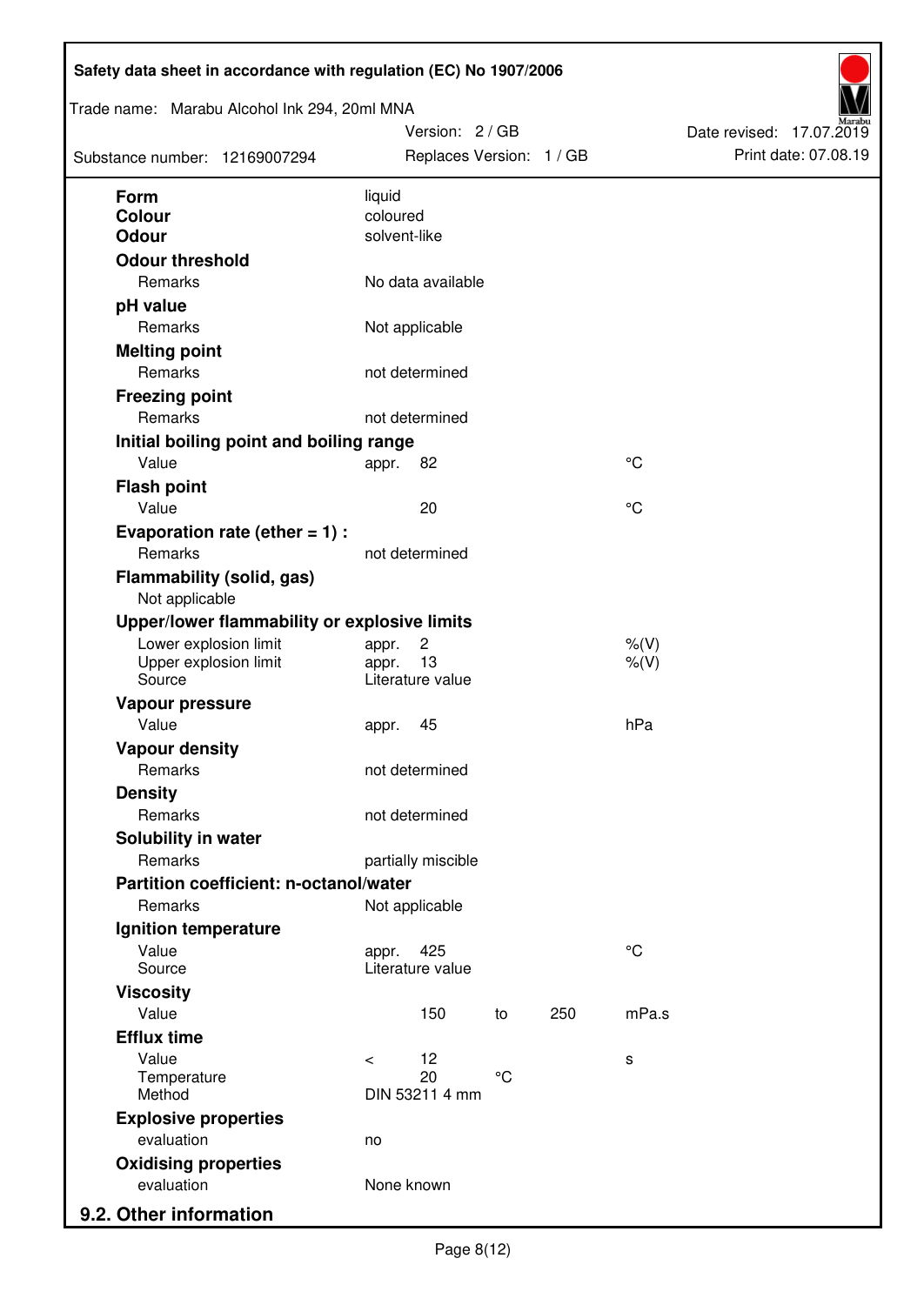| Trade name: Marabu Alcohol Ink 294, 20ml MNA<br>Substance number: 12169007294 |                                 | Version: 2 / GB<br>Replaces Version: 1 / GB |     |             | Date revised: 17.07.2019<br>Print date: 07.08.19 |  |
|-------------------------------------------------------------------------------|---------------------------------|---------------------------------------------|-----|-------------|--------------------------------------------------|--|
| <b>Form</b>                                                                   | liquid                          |                                             |     |             |                                                  |  |
| <b>Colour</b>                                                                 | coloured                        |                                             |     |             |                                                  |  |
| <b>Odour</b>                                                                  | solvent-like                    |                                             |     |             |                                                  |  |
| <b>Odour threshold</b>                                                        |                                 |                                             |     |             |                                                  |  |
| Remarks                                                                       | No data available               |                                             |     |             |                                                  |  |
| pH value                                                                      |                                 |                                             |     |             |                                                  |  |
| Remarks                                                                       | Not applicable                  |                                             |     |             |                                                  |  |
| <b>Melting point</b>                                                          |                                 |                                             |     |             |                                                  |  |
| Remarks                                                                       | not determined                  |                                             |     |             |                                                  |  |
| <b>Freezing point</b>                                                         |                                 |                                             |     |             |                                                  |  |
| Remarks                                                                       | not determined                  |                                             |     |             |                                                  |  |
| Initial boiling point and boiling range                                       |                                 |                                             |     |             |                                                  |  |
| Value                                                                         | 82<br>appr.                     |                                             |     | °C          |                                                  |  |
| <b>Flash point</b>                                                            |                                 |                                             |     |             |                                                  |  |
| Value                                                                         | 20                              |                                             |     | °C          |                                                  |  |
| Evaporation rate (ether $= 1$ ) :                                             |                                 |                                             |     |             |                                                  |  |
| Remarks                                                                       | not determined                  |                                             |     |             |                                                  |  |
| <b>Flammability (solid, gas)</b><br>Not applicable                            |                                 |                                             |     |             |                                                  |  |
| Upper/lower flammability or explosive limits                                  |                                 |                                             |     |             |                                                  |  |
| Lower explosion limit                                                         | $\overline{c}$<br>appr.         |                                             |     | $%$ $(V)$   |                                                  |  |
| Upper explosion limit<br>Source                                               | 13<br>appr.<br>Literature value |                                             |     | $%$ (V)     |                                                  |  |
| Vapour pressure                                                               |                                 |                                             |     |             |                                                  |  |
| Value                                                                         | 45<br>appr.                     |                                             |     | hPa         |                                                  |  |
| <b>Vapour density</b>                                                         |                                 |                                             |     |             |                                                  |  |
| Remarks                                                                       | not determined                  |                                             |     |             |                                                  |  |
| <b>Density</b>                                                                |                                 |                                             |     |             |                                                  |  |
| Remarks                                                                       | not determined                  |                                             |     |             |                                                  |  |
| Solubility in water                                                           |                                 |                                             |     |             |                                                  |  |
| Remarks                                                                       | partially miscible              |                                             |     |             |                                                  |  |
| Partition coefficient: n-octanol/water                                        |                                 |                                             |     |             |                                                  |  |
| Remarks                                                                       | Not applicable                  |                                             |     |             |                                                  |  |
| Ignition temperature                                                          |                                 |                                             |     |             |                                                  |  |
| Value                                                                         | 425<br>appr.                    |                                             |     | $^{\circ}C$ |                                                  |  |
| Source<br><b>Viscosity</b>                                                    | Literature value                |                                             |     |             |                                                  |  |
| Value                                                                         | 150                             | to                                          | 250 | mPa.s       |                                                  |  |
| <b>Efflux time</b>                                                            |                                 |                                             |     |             |                                                  |  |
| Value                                                                         | 12<br>$\prec$                   |                                             |     | s           |                                                  |  |
| Temperature                                                                   | 20                              | $^{\circ}$ C                                |     |             |                                                  |  |
| Method                                                                        | DIN 53211 4 mm                  |                                             |     |             |                                                  |  |
| <b>Explosive properties</b>                                                   |                                 |                                             |     |             |                                                  |  |
| evaluation                                                                    | no                              |                                             |     |             |                                                  |  |
| <b>Oxidising properties</b>                                                   |                                 |                                             |     |             |                                                  |  |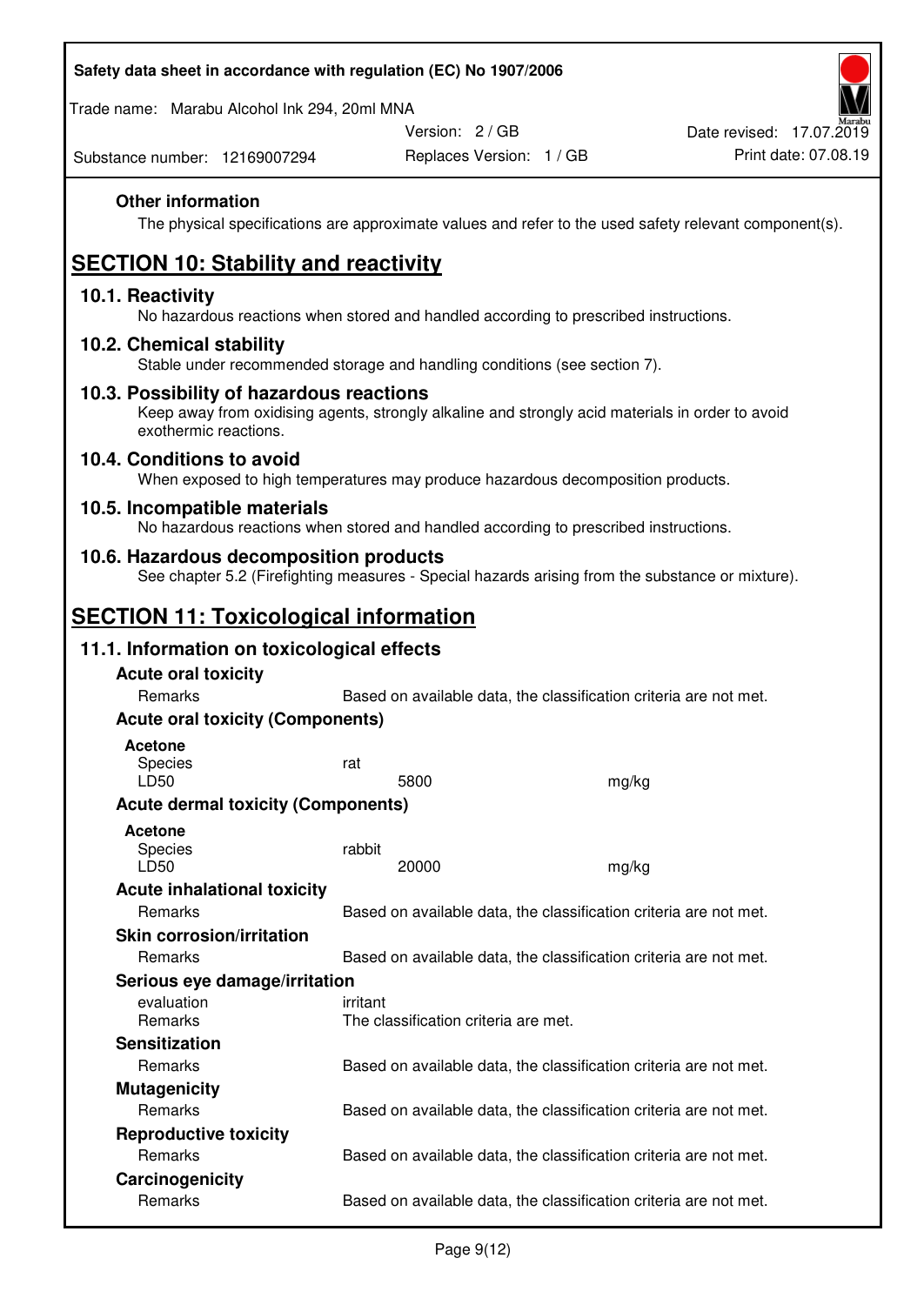Trade name: Marabu Alcohol Ink 294, 20ml MNA

Version: 2 / GB

Substance number: 12169007294

## **Other information**

The physical specifications are approximate values and refer to the used safety relevant component(s).

# **SECTION 10: Stability and reactivity**

#### **10.1. Reactivity**

No hazardous reactions when stored and handled according to prescribed instructions.

#### **10.2. Chemical stability**

Stable under recommended storage and handling conditions (see section 7).

#### **10.3. Possibility of hazardous reactions**

Keep away from oxidising agents, strongly alkaline and strongly acid materials in order to avoid exothermic reactions.

#### **10.4. Conditions to avoid**

When exposed to high temperatures may produce hazardous decomposition products.

#### **10.5. Incompatible materials**

No hazardous reactions when stored and handled according to prescribed instructions.

### **10.6. Hazardous decomposition products**

See chapter 5.2 (Firefighting measures - Special hazards arising from the substance or mixture).

## **SECTION 11: Toxicological information**

### **11.1. Information on toxicological effects**

| <b>Acute oral toxicity</b>                |                                                                   |       |  |  |  |
|-------------------------------------------|-------------------------------------------------------------------|-------|--|--|--|
| Remarks                                   | Based on available data, the classification criteria are not met. |       |  |  |  |
| <b>Acute oral toxicity (Components)</b>   |                                                                   |       |  |  |  |
| <b>Acetone</b><br><b>Species</b><br>LD50  | rat<br>5800                                                       | mg/kg |  |  |  |
| <b>Acute dermal toxicity (Components)</b> |                                                                   |       |  |  |  |
| <b>Acetone</b><br>Species<br>LD50         | rabbit<br>20000                                                   | mg/kg |  |  |  |
| <b>Acute inhalational toxicity</b>        |                                                                   |       |  |  |  |
| Remarks                                   | Based on available data, the classification criteria are not met. |       |  |  |  |
| <b>Skin corrosion/irritation</b>          |                                                                   |       |  |  |  |
| Remarks                                   | Based on available data, the classification criteria are not met. |       |  |  |  |
| Serious eye damage/irritation             |                                                                   |       |  |  |  |
| evaluation<br><b>Remarks</b>              | irritant<br>The classification criteria are met.                  |       |  |  |  |
| <b>Sensitization</b>                      |                                                                   |       |  |  |  |
| Remarks                                   | Based on available data, the classification criteria are not met. |       |  |  |  |
| <b>Mutagenicity</b>                       |                                                                   |       |  |  |  |
| <b>Remarks</b>                            | Based on available data, the classification criteria are not met. |       |  |  |  |
| <b>Reproductive toxicity</b>              |                                                                   |       |  |  |  |
| Remarks                                   | Based on available data, the classification criteria are not met. |       |  |  |  |
| Carcinogenicity                           |                                                                   |       |  |  |  |
| Remarks                                   | Based on available data, the classification criteria are not met. |       |  |  |  |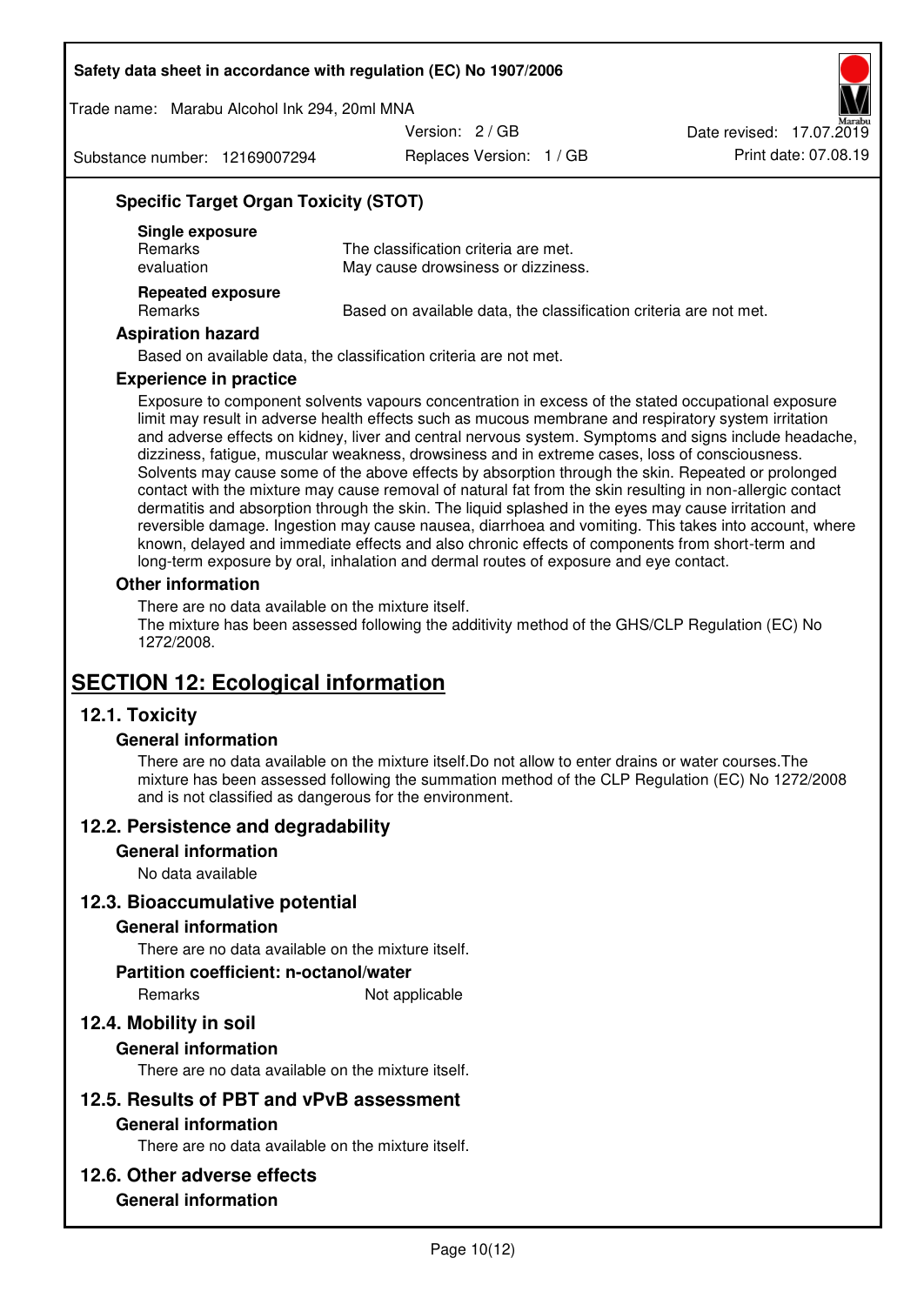Trade name: Marabu Alcohol Ink 294, 20ml MNA

Version: 2 / GB

Substance number: 12169007294

Replaces Version: 1 / GB Print date: 07.08.19 Date revised: 17.07.2019

## **Specific Target Organ Toxicity (STOT)**

| Single exposure<br><b>Remarks</b><br>evaluation | The classification criteria are met.<br>May cause drowsiness or dizziness. |
|-------------------------------------------------|----------------------------------------------------------------------------|
| <b>Repeated exposure</b><br>Remarks             | Based on available data, the classification criteria are not met.          |

#### **Aspiration hazard**

Based on available data, the classification criteria are not met.

#### **Experience in practice**

Exposure to component solvents vapours concentration in excess of the stated occupational exposure limit may result in adverse health effects such as mucous membrane and respiratory system irritation and adverse effects on kidney, liver and central nervous system. Symptoms and signs include headache, dizziness, fatigue, muscular weakness, drowsiness and in extreme cases, loss of consciousness. Solvents may cause some of the above effects by absorption through the skin. Repeated or prolonged contact with the mixture may cause removal of natural fat from the skin resulting in non-allergic contact dermatitis and absorption through the skin. The liquid splashed in the eyes may cause irritation and reversible damage. Ingestion may cause nausea, diarrhoea and vomiting. This takes into account, where known, delayed and immediate effects and also chronic effects of components from short-term and long-term exposure by oral, inhalation and dermal routes of exposure and eye contact.

#### **Other information**

There are no data available on the mixture itself. The mixture has been assessed following the additivity method of the GHS/CLP Regulation (EC) No 1272/2008.

## **SECTION 12: Ecological information**

## **12.1. Toxicity**

#### **General information**

There are no data available on the mixture itself.Do not allow to enter drains or water courses.The mixture has been assessed following the summation method of the CLP Regulation (EC) No 1272/2008 and is not classified as dangerous for the environment.

#### **12.2. Persistence and degradability**

#### **General information**

No data available

#### **12.3. Bioaccumulative potential**

#### **General information**

There are no data available on the mixture itself.

#### **Partition coefficient: n-octanol/water**

Remarks Not applicable

## **12.4. Mobility in soil**

#### **General information**

There are no data available on the mixture itself.

#### **12.5. Results of PBT and vPvB assessment**

#### **General information**

There are no data available on the mixture itself.

#### **12.6. Other adverse effects**

### **General information**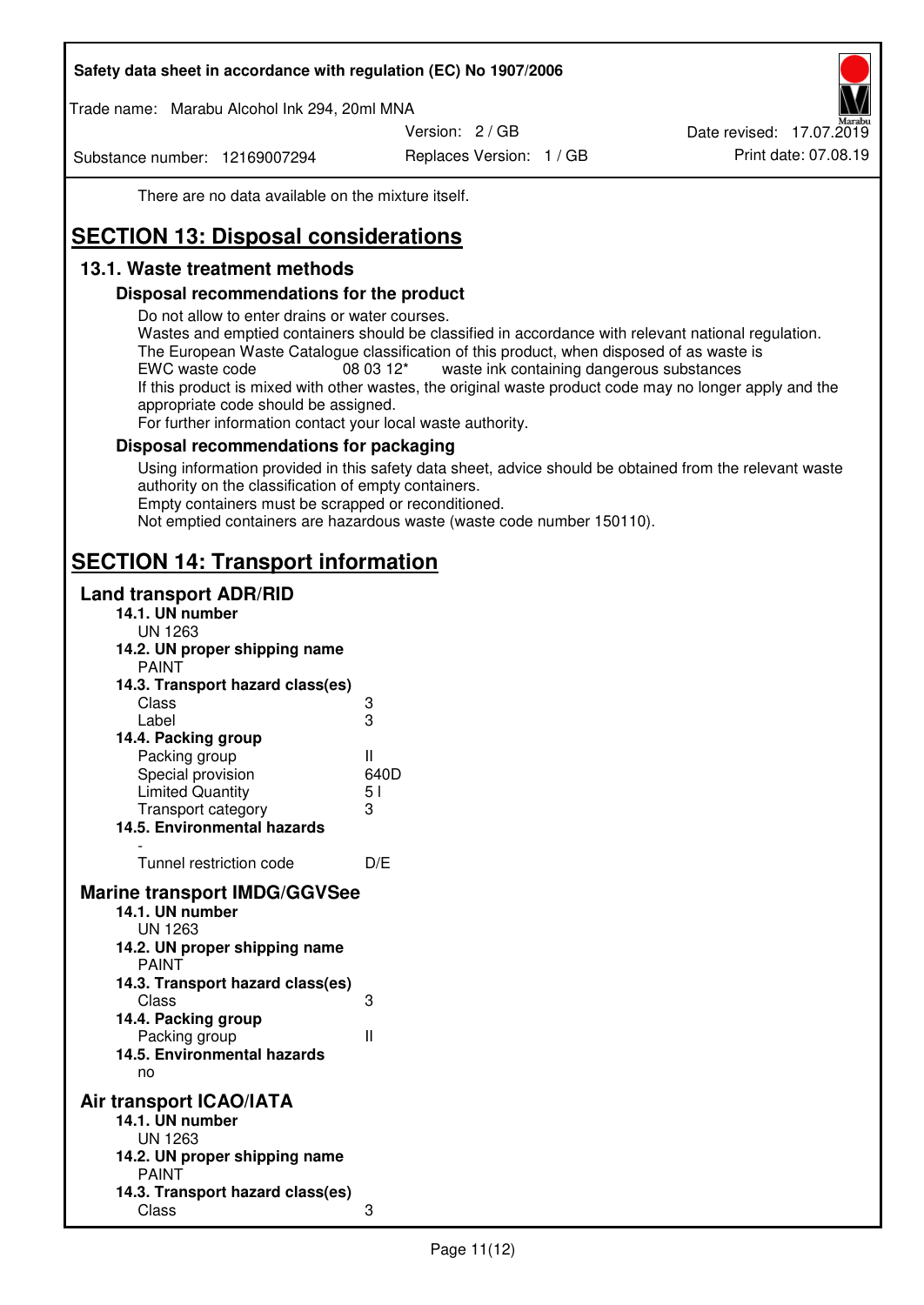Trade name: Marabu Alcohol Ink 294, 20ml MNA

Version: 2 / GB

Substance number: 12169007294

Replaces Version: 1 / GB Print date: 07.08.19 Date revised: 17.07.2019

There are no data available on the mixture itself.

# **SECTION 13: Disposal considerations**

## **13.1. Waste treatment methods**

### **Disposal recommendations for the product**

Do not allow to enter drains or water courses.

Wastes and emptied containers should be classified in accordance with relevant national regulation. The European Waste Catalogue classification of this product, when disposed of as waste is EWC waste code  $08\,03\,12^*$  waste ink containing dangerous substances If this product is mixed with other wastes, the original waste product code may no longer apply and the appropriate code should be assigned.

For further information contact your local waste authority.

### **Disposal recommendations for packaging**

Using information provided in this safety data sheet, advice should be obtained from the relevant waste authority on the classification of empty containers. Empty containers must be scrapped or reconditioned.

Not emptied containers are hazardous waste (waste code number 150110).

## **SECTION 14: Transport information**

#### **Land transport ADR/RID**

| 14.1. UN number<br><b>UN 1263</b>                                                                                                                                                                                                            |                   |
|----------------------------------------------------------------------------------------------------------------------------------------------------------------------------------------------------------------------------------------------|-------------------|
| 14.2. UN proper shipping name                                                                                                                                                                                                                |                   |
| <b>PAINT</b>                                                                                                                                                                                                                                 |                   |
| 14.3. Transport hazard class(es)                                                                                                                                                                                                             |                   |
| Class                                                                                                                                                                                                                                        |                   |
| Label                                                                                                                                                                                                                                        | ვ<br>ვ            |
| 14.4. Packing group                                                                                                                                                                                                                          |                   |
| Packing group                                                                                                                                                                                                                                | Ш                 |
| Special provision                                                                                                                                                                                                                            | 640D              |
| <b>Limited Quantity</b>                                                                                                                                                                                                                      | 5 <sub>1</sub>    |
| Transport category                                                                                                                                                                                                                           | 3                 |
| 14.5. Environmental hazards                                                                                                                                                                                                                  |                   |
| Tunnel restriction code                                                                                                                                                                                                                      | D/E               |
|                                                                                                                                                                                                                                              |                   |
| <b>Marine transport IMDG/GGVSee</b><br>14.1. UN number<br>UN 1263<br>14.2. UN proper shipping name<br><b>PAINT</b><br>14.3. Transport hazard class(es)<br>Class<br>14.4. Packing group<br>Packing group<br>14.5. Environmental hazards<br>no | 3<br>$\mathbf{I}$ |
| Air transport ICAO/IATA                                                                                                                                                                                                                      |                   |
| 14.1. UN number                                                                                                                                                                                                                              |                   |
| UN 1263                                                                                                                                                                                                                                      |                   |
| 14.2. UN proper shipping name<br><b>PAINT</b>                                                                                                                                                                                                |                   |
| 14.3. Transport hazard class(es)                                                                                                                                                                                                             |                   |
| Class                                                                                                                                                                                                                                        | 3                 |
|                                                                                                                                                                                                                                              |                   |